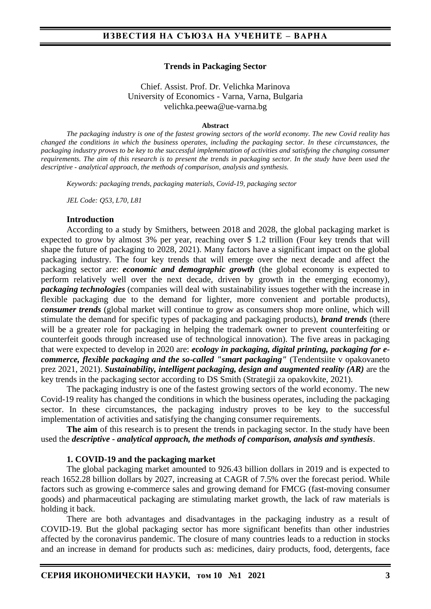#### **Trends in Packaging Sector**

#### Chief. Assist. Prof. Dr. Velichka Marinova University of Economics - Varna, Varna, Bulgaria velichka.peewa@ue-varna.bg

#### **Abstract**

*The packaging industry is one of the fastest growing sectors of the world economy. The new Covid reality has changed the conditions in which the business operates, including the packaging sector. In these circumstances, the packaging industry proves to be key to the successful implementation of activities and satisfying the changing consumer requirements. The aim of this research is to present the trends in packaging sector. In the study have been used the descriptive - analytical approach, the methods of comparison, analysis and synthesis.*

*Keywords: packaging trends, packaging materials, Covid-19, packaging sector*

*JEL Code: Q53, L70, L81*

#### **Introduction**

According to a study by Smithers, between 2018 and 2028, the global packaging market is expected to grow by almost 3% per year, reaching over \$ 1.2 trillion (Four key trends that will shape the future of packaging to 2028, 2021). Many factors have a significant impact on the global packaging industry. The four key trends that will emerge over the next decade and affect the packaging sector are: *economic and demographic growth* (the global economy is expected to perform relatively well over the next decade, driven by growth in the emerging economy), *packaging technologies* (companies will deal with sustainability issues together with the increase in flexible packaging due to the demand for lighter, more convenient and portable products), *consumer trends* (global market will continue to grow as consumers shop more online, which will stimulate the demand for specific types of packaging and packaging products), *brand trends* (there will be a greater role for packaging in helping the trademark owner to prevent counterfeiting or counterfeit goods through increased use of technological innovation). The five areas in packaging that were expected to develop in 2020 are: *ecology in packaging, digital printing, packaging for ecommerce, flexible packaging and the so-called "smart packaging"* (Tendentsiite v opakovaneto prez 2021, 2021). *Sustainability, intelligent packaging, design and augmented reality (AR)* are the key trends in the packaging sector according to DS Smith (Strategii za opakovkite, 2021).

The packaging industry is one of the fastest growing sectors of the world economy. The new Covid-19 reality has changed the conditions in which the business operates, including the packaging sector. In these circumstances, the packaging industry proves to be key to the successful implementation of activities and satisfying the changing consumer requirements.

**The aim** of this research is to present the trends in packaging sector. In the study have been used the *descriptive - analytical approach, the methods of comparison, analysis and synthesis*.

#### **1. COVID-19 and the packaging market**

The global packaging market amounted to 926.43 billion dollars in 2019 and is expected to reach 1652.28 billion dollars by 2027, increasing at CAGR of 7.5% over the forecast period. While factors such as growing e-commerce sales and growing demand for FMCG (fast-moving consumer goods) and pharmaceutical packaging are stimulating market growth, the lack of raw materials is holding it back.

There are both advantages and disadvantages in the packaging industry as a result of COVID-19. But the global packaging sector has more significant benefits than other industries affected by the coronavirus pandemic. The closure of many countries leads to a reduction in stocks and an increase in demand for products such as: medicines, dairy products, food, detergents, face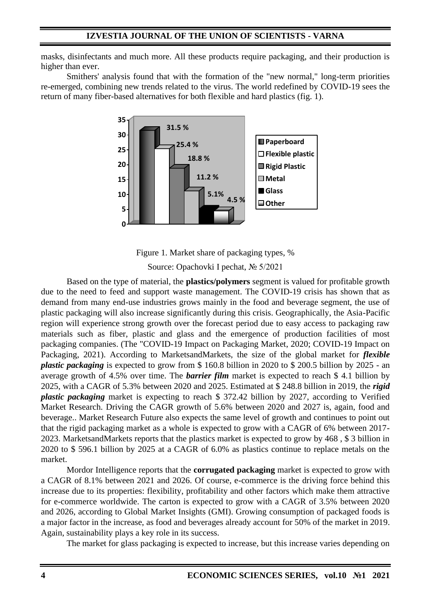masks, disinfectants and much more. All these products require packaging, and their production is higher than ever.

Smithers' analysis found that with the formation of the "new normal," long-term priorities re-emerged, combining new trends related to the virus. The world redefined by COVID-19 sees the return of many fiber-based alternatives for both flexible and hard plastics (fig. 1).



Figure 1. Market share of packaging types, %

Source: Opachovki I pechat, № 5/2021

Based on the type of material, the **plastics/polymers** segment is valued for profitable growth due to the need to feed and support waste management. The COVID-19 crisis has shown that as demand from many end-use industries grows mainly in the food and beverage segment, the use of plastic packaging will also increase significantly during this crisis. Geographically, the Asia-Pacific region will experience strong growth over the forecast period due to easy access to packaging raw materials such as fiber, plastic and glass and the emergence of production facilities of most packaging companies. (The "COVID-19 Impact on Packaging Market, 2020; COVID-19 Impact on Packaging, 2021). According to MarketsandMarkets, the size of the global market for *flexible plastic packaging* is expected to grow from \$ 160.8 billion in 2020 to \$ 200.5 billion by 2025 - an average growth of 4.5% over time. The *barrier film* market is expected to reach \$ 4.1 billion by 2025, with a CAGR of 5.3% between 2020 and 2025. Estimated at \$ 248.8 billion in 2019, the *rigid plastic packaging* market is expecting to reach \$ 372.42 billion by 2027, according to Verified Market Research. Driving the CAGR growth of 5.6% between 2020 and 2027 is, again, food and beverage.. Market Research Future also expects the same level of growth and continues to point out that the rigid packaging market as a whole is expected to grow with a CAGR of 6% between 2017- 2023. MarketsandMarkets reports that the plastics market is expected to grow by 468 , \$ 3 billion in 2020 to \$ 596.1 billion by 2025 at a CAGR of 6.0% as plastics continue to replace metals on the market.

Mordor Intelligence reports that the **corrugated packaging** market is expected to grow with a CAGR of 8.1% between 2021 and 2026. Of course, e-commerce is the driving force behind this increase due to its properties: flexibility, profitability and other factors which make them attractive for e-commerce worldwide. The carton is expected to grow with a CAGR of 3.5% between 2020 and 2026, according to Global Market Insights (GMI). Growing consumption of packaged foods is a major factor in the increase, as food and beverages already account for 50% of the market in 2019. Again, sustainability plays a key role in its success.

The market for glass packaging is expected to increase, but this increase varies depending on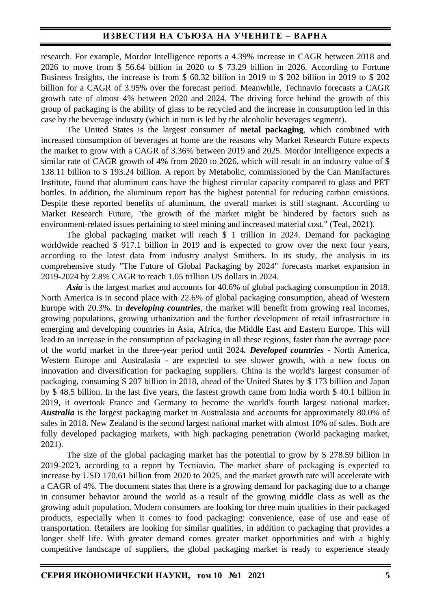research. For example, Mordor Intelligence reports a 4.39% increase in CAGR between 2018 and 2026 to move from \$ 56.64 billion in 2020 to \$ 73.29 billion in 2026. According to Fortune Business Insights, the increase is from \$ 60.32 billion in 2019 to \$ 202 billion in 2019 to \$ 202 billion for a CAGR of 3.95% over the forecast period. Meanwhile, Technavio forecasts a CAGR growth rate of almost 4% between 2020 and 2024. The driving force behind the growth of this group of packaging is the ability of glass to be recycled and the increase in consumption led in this case by the beverage industry (which in turn is led by the alcoholic beverages segment).

The United States is the largest consumer of **metal packaging**, which combined with increased consumption of beverages at home are the reasons why Market Research Future expects the market to grow with a CAGR of 3.36% between 2019 and 2025. Mordor Intelligence expects a similar rate of CAGR growth of 4% from 2020 to 2026, which will result in an industry value of \$ 138.11 billion to \$ 193.24 billion. A report by Metabolic, commissioned by the Can Manifactures Institute, found that aluminum cans have the highest circular capacity compared to glass and PET bottles. In addition, the aluminum report has the highest potential for reducing carbon emissions. Despite these reported benefits of aluminum, the overall market is still stagnant. According to Market Research Future, "the growth of the market might be hindered by factors such as environment-related issues pertaining to steel mining and increased material cost." (Teal, 2021).

The global packaging market will reach \$ 1 trillion in 2024. Demand for packaging worldwide reached \$ 917.1 billion in 2019 and is expected to grow over the next four years, according to the latest data from industry analyst Smithers. In its study, the analysis in its comprehensive study "The Future of Global Packaging by 2024" forecasts market expansion in 2019-2024 by 2.8% CAGR to reach 1.05 trillion US dollars in 2024.

*Asia* is the largest market and accounts for 40.6% of global packaging consumption in 2018. North America is in second place with 22.6% of global packaging consumption, ahead of Western Europe with 20.3%. In *developing countries*, the market will benefit from growing real incomes, growing populations, growing urbanization and the further development of retail infrastructure in emerging and developing countries in Asia, Africa, the Middle East and Eastern Europe. This will lead to an increase in the consumption of packaging in all these regions, faster than the average pace of the world market in the three-year period until 2024*. Developed countries* - North America, Western Europe and Australasia - are expected to see slower growth, with a new focus on innovation and diversification for packaging suppliers. China is the world's largest consumer of packaging, consuming \$ 207 billion in 2018, ahead of the United States by \$ 173 billion and Japan by \$ 48.5 billion. In the last five years, the fastest growth came from India worth \$ 40.1 billion in 2019, it overtook France and Germany to become the world's fourth largest national market. *Australia* is the largest packaging market in Australasia and accounts for approximately 80.0% of sales in 2018. New Zealand is the second largest national market with almost 10% of sales. Both are fully developed packaging markets, with high packaging penetration (World packaging market, 2021).

The size of the global packaging market has the potential to grow by \$ 278.59 billion in 2019-2023, according to a report by Tecniavio. The market share of packaging is expected to increase by USD 170.61 billion from 2020 to 2025, and the market growth rate will accelerate with a CAGR of 4%. The document states that there is a growing demand for packaging due to a change in consumer behavior around the world as a result of the growing middle class as well as the growing adult population. Modern consumers are looking for three main qualities in their packaged products, especially when it comes to food packaging: convenience, ease of use and ease of transportation. Retailers are looking for similar qualities, in addition to packaging that provides a longer shelf life. With greater demand comes greater market opportunities and with a highly competitive landscape of suppliers, the global packaging market is ready to experience steady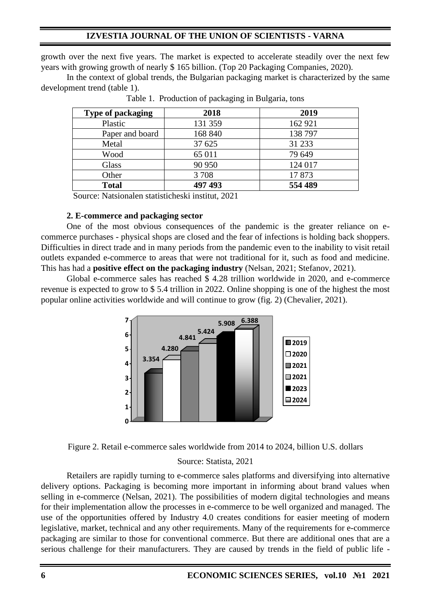growth over the next five years. The market is expected to accelerate steadily over the next few years with growing growth of nearly \$ 165 billion. (Top 20 Packaging Companies, 2020).

In the context of global trends, the Bulgarian packaging market is characterized by the same development trend (table 1).

| <b>Type of packaging</b> | 2018    | 2019    |
|--------------------------|---------|---------|
| Plastic                  | 131 359 | 162 921 |
| Paper and board          | 168 840 | 138 797 |
| Metal                    | 37 625  | 31 233  |
| Wood                     | 65 011  | 79 649  |
| Glass                    | 90 950  | 124 017 |
| Other                    | 3708    | 17873   |
| <b>Total</b>             | 497 493 | 554 489 |

Table 1. Production of packaging in Bulgaria, tons

Source: Natsionalen statisticheski institut, 2021

### **2. E-commerce and packaging sector**

One of the most obvious consequences of the pandemic is the greater reliance on ecommerce purchases - physical shops are closed and the fear of infections is holding back shoppers. Difficulties in direct trade and in many periods from the pandemic even to the inability to visit retail outlets expanded e-commerce to areas that were not traditional for it, such as food and medicine. This has had a **positive effect on the packaging industry** (Nelsan, 2021; Stefanov, 2021).

Global e-commerce sales has reached \$ 4.28 trillion worldwide in 2020, and e-commerce revenue is expected to grow to \$ 5.4 trillion in 2022. Online shopping is one of the highest the most popular online activities worldwide and will continue to grow (fig. 2) (Chevalier, 2021).





# Source: Statista, 2021

Retailers are rapidly turning to e-commerce sales platforms and diversifying into alternative delivery options. Packaging is becoming more important in informing about brand values when selling in e-commerce (Nelsan, 2021). The possibilities of modern digital technologies and means for their implementation allow the processes in e-commerce to be well organized and managed. The use of the opportunities offered by Industry 4.0 creates conditions for easier meeting of modern legislative, market, technical and any other requirements. Many of the requirements for e-commerce packaging are similar to those for conventional commerce. But there are additional ones that are a serious challenge for their manufacturers. They are caused by trends in the field of public life -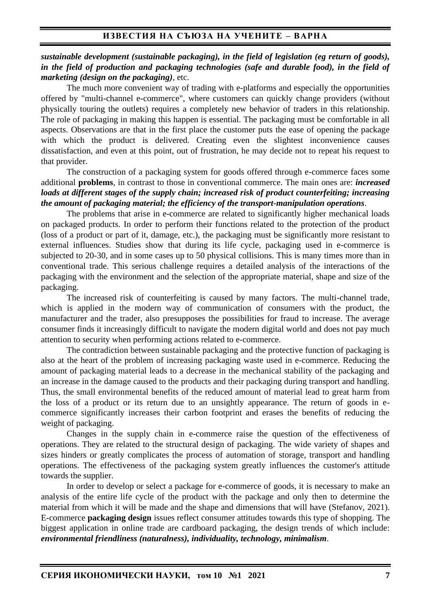### *sustainable development (sustainable packaging), in the field of legislation (eg return of goods), in the field of production and packaging technologies (safe and durable food), in the field of marketing (design on the packaging)*, etc.

The much more convenient way of trading with e-platforms and especially the opportunities offered by "multi-channel e-commerce", where customers can quickly change providers (without physically touring the outlets) requires a completely new behavior of traders in this relationship. The role of packaging in making this happen is essential. The packaging must be comfortable in all aspects. Observations are that in the first place the customer puts the ease of opening the package with which the product is delivered. Creating even the slightest inconvenience causes dissatisfaction, and even at this point, out of frustration, he may decide not to repeat his request to that provider.

The construction of a packaging system for goods offered through e-commerce faces some additional **problems**, in contrast to those in conventional commerce. The main ones are: *increased loads at different stages of the supply chain; increased risk of product counterfeiting; increasing the amount of packaging material; the efficiency of the transport-manipulation operations*.

The problems that arise in e-commerce are related to significantly higher mechanical loads on packaged products. In order to perform their functions related to the protection of the product (loss of a product or part of it, damage, etc.), the packaging must be significantly more resistant to external influences. Studies show that during its life cycle, packaging used in e-commerce is subjected to 20-30, and in some cases up to 50 physical collisions. This is many times more than in conventional trade. This serious challenge requires a detailed analysis of the interactions of the packaging with the environment and the selection of the appropriate material, shape and size of the packaging.

The increased risk of counterfeiting is caused by many factors. The multi-channel trade, which is applied in the modern way of communication of consumers with the product, the manufacturer and the trader, also presupposes the possibilities for fraud to increase. The average consumer finds it increasingly difficult to navigate the modern digital world and does not pay much attention to security when performing actions related to e-commerce.

The contradiction between sustainable packaging and the protective function of packaging is also at the heart of the problem of increasing packaging waste used in e-commerce. Reducing the amount of packaging material leads to a decrease in the mechanical stability of the packaging and an increase in the damage caused to the products and their packaging during transport and handling. Thus, the small environmental benefits of the reduced amount of material lead to great harm from the loss of a product or its return due to an unsightly appearance. The return of goods in ecommerce significantly increases their carbon footprint and erases the benefits of reducing the weight of packaging.

Changes in the supply chain in e-commerce raise the question of the effectiveness of operations. They are related to the structural design of packaging. The wide variety of shapes and sizes hinders or greatly complicates the process of automation of storage, transport and handling operations. The effectiveness of the packaging system greatly influences the customer's attitude towards the supplier.

In order to develop or select a package for e-commerce of goods, it is necessary to make an analysis of the entire life cycle of the product with the package and only then to determine the material from which it will be made and the shape and dimensions that will have (Stefanov, 2021). E-commerce **packaging design** issues reflect consumer attitudes towards this type of shopping. The biggest application in online trade are cardboard packaging, the design trends of which include: *environmental friendliness (naturalness), individuality, technology, minimalism*.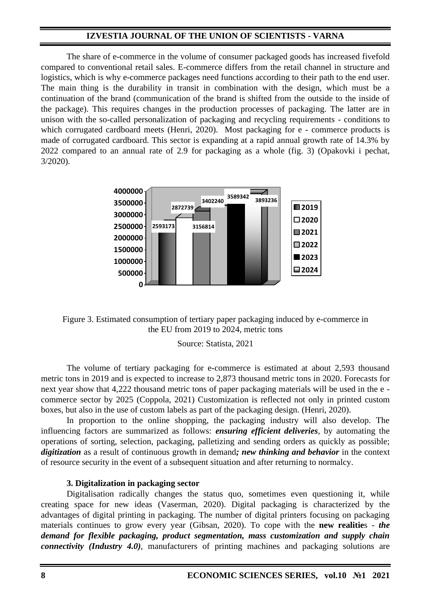The share of e-commerce in the volume of consumer packaged goods has increased fivefold compared to conventional retail sales. E-commerce differs from the retail channel in structure and logistics, which is why e-commerce packages need functions according to their path to the end user. The main thing is the durability in transit in combination with the design, which must be a continuation of the brand (communication of the brand is shifted from the outside to the inside of the package). This requires changes in the production processes of packaging. The latter are in unison with the so-called personalization of packaging and recycling requirements - conditions to which corrugated cardboard meets (Henri, 2020). Most packaging for e - commerce products is made of corrugated cardboard. This sector is expanding at a rapid annual growth rate of 14.3% by 2022 compared to an annual rate of 2.9 for packaging as a whole (fig. 3) (Opakovki i pechat, 3/2020).





Source: Statista, 2021

The volume of tertiary packaging for e-commerce is estimated at about 2,593 thousand metric tons in 2019 and is expected to increase to 2,873 thousand metric tons in 2020. Forecasts for next year show that 4,222 thousand metric tons of paper packaging materials will be used in the e commerce sector by 2025 (Coppola, 2021) Customization is reflected not only in printed custom boxes, but also in the use of custom labels as part of the packaging design. (Henri, 2020).

In proportion to the online shopping, the packaging industry will also develop. The influencing factors are summarized as follows: *ensuring efficient deliveries*, by automating the operations of sorting, selection, packaging, palletizing and sending orders as quickly as possible; *digitization* as a result of continuous growth in demand*; new thinking and behavior* in the context of resource security in the event of a subsequent situation and after returning to normalcy.

### **3. Digitalization in packaging sector**

Digitalisation radically changes the status quo, sometimes even questioning it, while creating space for new ideas (Vaserman, 2020). Digital packaging is characterized by the advantages of digital printing in packaging. The number of digital printers focusing on packaging materials continues to grow every year (Gibsan, 2020). To cope with the **new realitie**s - *the demand for flexible packaging, product segmentation, mass customization and supply chain connectivity (Industry 4.0)*, manufacturers of printing machines and packaging solutions are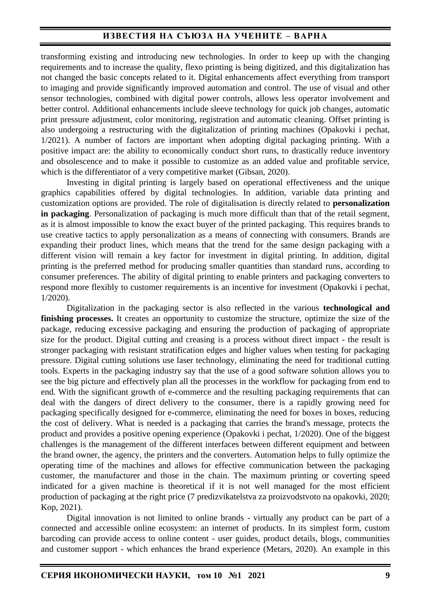transforming existing and introducing new technologies. In order to keep up with the changing requirements and to increase the quality, flexo printing is being digitized, and this digitalization has not changed the basic concepts related to it. Digital enhancements affect everything from transport to imaging and provide significantly improved automation and control. The use of visual and other sensor technologies, combined with digital power controls, allows less operator involvement and better control. Additional enhancements include sleeve technology for quick job changes, automatic print pressure adjustment, color monitoring, registration and automatic cleaning. Offset printing is also undergoing a restructuring with the digitalization of printing machines (Opakovki i pechat, 1/2021). A number of factors are important when adopting digital packaging printing. With a positive impact are: the ability to economically conduct short runs, to drastically reduce inventory and obsolescence and to make it possible to customize as an added value and profitable service, which is the differentiator of a very competitive market (Gibsan, 2020).

Investing in digital printing is largely based on operational effectiveness and the unique graphics capabilities offered by digital technologies. In addition, variable data printing and customization options are provided. The role of digitalisation is directly related to **personalization in packaging**. Personalization of packaging is much more difficult than that of the retail segment, as it is almost impossible to know the exact buyer of the printed packaging. This requires brands to use creative tactics to apply personalization as a means of connecting with consumers. Brands are expanding their product lines, which means that the trend for the same design packaging with a different vision will remain a key factor for investment in digital printing. In addition, digital printing is the preferred method for producing smaller quantities than standard runs, according to consumer preferences. The ability of digital printing to enable printers and packaging converters to respond more flexibly to customer requirements is an incentive for investment (Opakovki i pechat, 1/2020).

Digitalization in the packaging sector is also reflected in the various **technological and finishing processes.** It creates an opportunity to customize the structure, optimize the size of the package, reducing excessive packaging and ensuring the production of packaging of appropriate size for the product. Digital cutting and creasing is a process without direct impact - the result is stronger packaging with resistant stratification edges and higher values when testing for packaging pressure. Digital cutting solutions use laser technology, eliminating the need for traditional cutting tools. Experts in the packaging industry say that the use of a good software solution allows you to see the big picture and effectively plan all the processes in the workflow for packaging from end to end. With the significant growth of e-commerce and the resulting packaging requirements that can deal with the dangers of direct delivery to the consumer, there is a rapidly growing need for packaging specifically designed for e-commerce, eliminating the need for boxes in boxes, reducing the cost of delivery. What is needed is a packaging that carries the brand's message, protects the product and provides a positive opening experience (Opakovki i pechat, 1/2020). One of the biggest challenges is the management of the different interfaces between different equipment and between the brand owner, the agency, the printers and the converters. Automation helps to fully optimize the operating time of the machines and allows for effective communication between the packaging customer, the manufacturer and those in the chain. The maximum printing or coverting speed indicated for a given machine is theoretical if it is not well managed for the most efficient production of packaging at the right price (7 predizvikatelstva za proizvodstvoto na opakovki, 2020; Kop, 2021).

Digital innovation is not limited to online brands - virtually any product can be part of a connected and accessible online ecosystem: an internet of products. In its simplest form, custom barcoding can provide access to online content - user guides, product details, blogs, communities and customer support - which enhances the brand experience (Metars, 2020). An example in this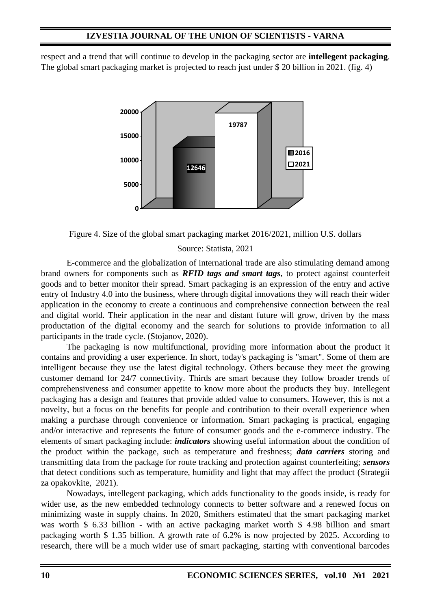respect and a trend that will continue to develop in the packaging sector are **intellegent packaging**. The global smart packaging market is projected to reach just under \$ 20 billion in 2021. (fig. 4)



Figure 4. Size of the global smart packaging market 2016/2021, million U.S. dollars

#### Source: Statista, 2021

E-commerce and the globalization of international trade are also stimulating demand among brand owners for components such as *RFID tags and smart tags*, to protect against counterfeit goods and to better monitor their spread. Smart packaging is an expression of the entry and active entry of Industry 4.0 into the business, where through digital innovations they will reach their wider application in the economy to create a continuous and comprehensive connection between the real and digital world. Their application in the near and distant future will grow, driven by the mass productation of the digital economy and the search for solutions to provide information to all participants in the trade cycle. (Stojanov, 2020).

The packaging is now multifunctional, providing more information about the product it contains and providing a user experience. In short, today's packaging is "smart". Some of them are intelligent because they use the latest digital technology. Others because they meet the growing customer demand for 24/7 connectivity. Thirds are smart because they follow broader trends of comprehensiveness and consumer appetite to know more about the products they buy. Intellegent packaging has a design and features that provide added value to consumers. However, this is not a novelty, but a focus on the benefits for people and contribution to their overall experience when making a purchase through convenience or information. Smart packaging is practical, engaging and/or interactive and represents the future of consumer goods and the e-commerce industry. The elements of smart packaging include: *indicators* showing useful information about the condition of the product within the package, such as temperature and freshness; *data carriers* storing and transmitting data from the package for route tracking and protection against counterfeiting; *sensors* that detect conditions such as temperature, humidity and light that may affect the product (Strategii za opakovkite, 2021).

Nowadays, intellegent packaging, which adds functionality to the goods inside, is ready for wider use, as the new embedded technology connects to better software and a renewed focus on minimizing waste in supply chains. In 2020, Smithers estimated that the smart packaging market was worth \$ 6.33 billion - with an active packaging market worth \$ 4.98 billion and smart packaging worth \$ 1.35 billion. A growth rate of 6.2% is now projected by 2025. According to research, there will be a much wider use of smart packaging, starting with conventional barcodes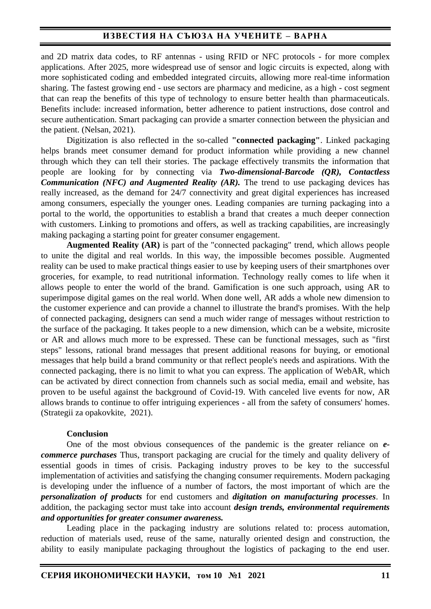and 2D matrix data codes, to RF antennas - using RFID or NFC protocols - for more complex applications. After 2025, more widespread use of sensor and logic circuits is expected, along with more sophisticated coding and embedded integrated circuits, allowing more real-time information sharing. The fastest growing end - use sectors are pharmacy and medicine, as a high - cost segment that can reap the benefits of this type of technology to ensure better health than pharmaceuticals. Benefits include: increased information, better adherence to patient instructions, dose control and secure authentication. Smart packaging can provide a smarter connection between the physician and the patient. (Nelsan, 2021).

Digitization is also reflected in the so-called **"connected packaging"**. Linked packaging helps brands meet consumer demand for product information while providing a new channel through which they can tell their stories. The package effectively transmits the information that people are looking for by connecting via *Two-dimensional-Barcode (QR), Contactless Communication (NFC) and Augmented Reality (AR).* The trend to use packaging devices has really increased, as the demand for 24/7 connectivity and great digital experiences has increased among consumers, especially the younger ones. Leading companies are turning packaging into a portal to the world, the opportunities to establish a brand that creates a much deeper connection with customers. Linking to promotions and offers, as well as tracking capabilities, are increasingly making packaging a starting point for greater consumer engagement.

**Augmented Reality (AR)** is part of the "connected packaging" trend, which allows people to unite the digital and real worlds. In this way, the impossible becomes possible. Augmented reality can be used to make practical things easier to use by keeping users of their smartphones over groceries, for example, to read nutritional information. Technology really comes to life when it allows people to enter the world of the brand. Gamification is one such approach, using AR to superimpose digital games on the real world. When done well, AR adds a whole new dimension to the customer experience and can provide a channel to illustrate the brand's promises. With the help of connected packaging, designers can send a much wider range of messages without restriction to the surface of the packaging. It takes people to a new dimension, which can be a website, microsite or AR and allows much more to be expressed. These can be functional messages, such as "first steps" lessons, rational brand messages that present additional reasons for buying, or emotional messages that help build a brand community or that reflect people's needs and aspirations. With the connected packaging, there is no limit to what you can express. The application of WebAR, which can be activated by direct connection from channels such as social media, email and website, has proven to be useful against the background of Covid-19. With canceled live events for now, AR allows brands to continue to offer intriguing experiences - all from the safety of consumers' homes. (Strategii za opakovkite, 2021).

#### **Conclusion**

One of the most obvious consequences of the pandemic is the greater reliance on *ecommerce purchases* Thus, transport packaging are crucial for the timely and quality delivery of essential goods in times of crisis. Packaging industry proves to be key to the successful implementation of activities and satisfying the changing consumer requirements. Modern packaging is developing under the influence of a number of factors, the most important of which are the *personalization of products* for end customers and *digitation on manufacturing processes*. In addition, the packaging sector must take into account *design trends, environmental requirements and opportunities for greater consumer awareness.*

Leading place in the packaging industry are solutions related to: process automation, reduction of materials used, reuse of the same, naturally oriented design and construction, the ability to easily manipulate packaging throughout the logistics of packaging to the end user.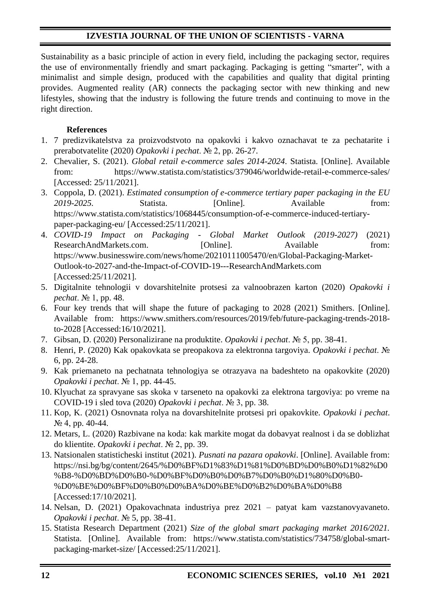Sustainability as a basic principle of action in every field, including the packaging sector, requires the use of environmentally friendly and smart packaging. Packaging is getting "smarter", with a minimalist and simple design, produced with the capabilities and quality that digital printing provides. Augmented reality (AR) connects the packaging sector with new thinking and new lifestyles, showing that the industry is following the future trends and continuing to move in the right direction.

## **References**

- 1. 7 predizvikatelstva za proizvodstvoto na opakovki i kakvo oznachavat te za pechatarite i prerabotvatelite (2020) *Opakovki i pechat*. № 2, pp. 26-27.
- 2. Chevalier, S. (2021). *Global retail e-commerce sales 2014-2024*. Statista. [Online]. Available from: https://www.statista.com/statistics/379046/worldwide-retail-e-commerce-sales/ [Accessed: 25/11/2021].
- 3. Coppola, D. (2021). *Estimated consumption of e-commerce tertiary paper packaging in the EU 2019-2025.* Statista. [Online]. Available from: https://www.statista.com/statistics/1068445/consumption-of-e-commerce-induced-tertiarypaper-packaging-eu/ [Accessed:25/11/2021].
- 4. *COVID-19 Impact on Packaging - Global Market Outlook (2019-2027)* (2021) ResearchAndMarkets.com. [Online]. Available from: https://www.businesswire.com/news/home/20210111005470/en/Global-Packaging-Market-Outlook-to-2027-and-the-Impact-of-COVID-19---ResearchAndMarkets.com [Accessed:25/11/2021].
- 5. Digitalnite tehnologii v dovarshitelnite protsesi za valnoobrazen karton (2020) *Opakovki i pechat*. № 1, pp. 48.
- 6. Four key trends that will shape the future of packaging to 2028 (2021) Smithers. [Online]. Available from: https://www.smithers.com/resources/2019/feb/future-packaging-trends-2018 to-2028 [Accessed:16/10/2021].
- 7. Gibsan, D. (2020) Personalizirane na produktite. *Opakovki i pechat*. № 5, pp. 38-41.
- 8. Henri, P. (2020) Kak opakovkata se preopakova za elektronna targoviya. *Opakovki i pechat*. № 6, pp. 24-28.
- 9. Kak priemaneto na pechatnata tehnologiya se otrazyava na badeshteto na opakovkite (2020) *Opakovki i pechat*. № 1, pp. 44-45.
- 10. Klyuchat za spravyane sas skoka v tarseneto na opakovki za elektrona targoviya: po vreme na COVID-19 i sled tova (2020) *Opakovki i pechat*. № 3, pp. 38.
- 11. Kop, K. (2021) Osnovnata rolya na dovarshitelnite protsesi pri opakovkite. *Opakovki i pechat*. № 4, pp. 40-44.
- 12. Metars, L. (2020) Razbivane na koda: kak markite mogat da dobavyat realnost i da se doblizhat do klientite. *Opakovki i pechat*. № 2, pp. 39.
- 13. Natsionalen statisticheski institut (2021). *Pusnati na pazara opakovki*. [Online]. Available from: https://nsi.bg/bg/content/2645/%D0%BF%D1%83%D1%81%D0%BD%D0%B0%D1%82%D0 %B8-%D0%BD%D0%B0-%D0%BF%D0%B0%D0%B7%D0%B0%D1%80%D0%B0- %D0%BE%D0%BF%D0%B0%D0%BA%D0%BE%D0%B2%D0%BA%D0%B8 [Accessed:17/10/2021].
- 14. Nelsan, D. (2021) Opakovachnata industriya prez 2021 patyat kam vazstanovyavaneto. *Opakovki i pechat*. № 5, pp. 38-41.
- 15. Statista Research Department (2021) *Size of the global smart packaging market 2016/2021.* Statista. [Online]. Available from: https://www.statista.com/statistics/734758/global-smartpackaging-market-size/ [Accessed:25/11/2021].